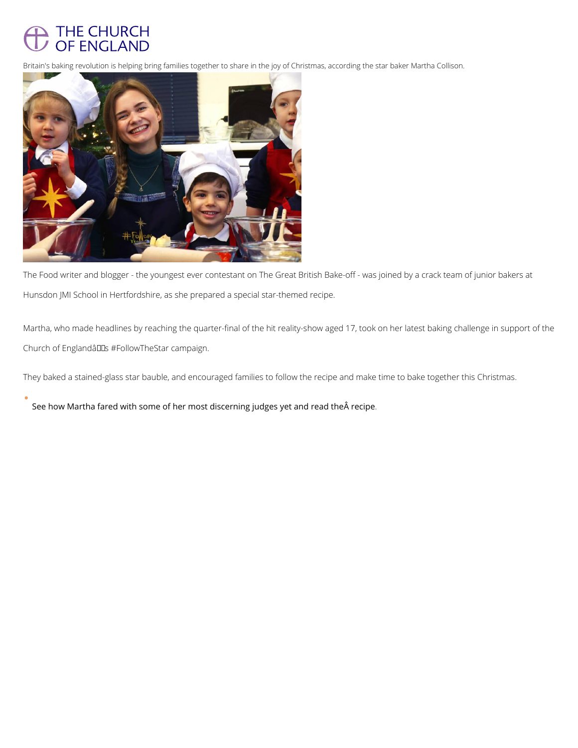

Britain's baking revolution is helping bring families together to share in the joy of Christmas, according

The Food writer and blogger - the youngest ever contestant on The Great British Bake-off - w Hunsdon JMI School in Hertfordshire, as she prepared a special star-themed recipe.

Martha, who made headlines by reaching the quarter-final of the hit reality-show aged 17, to Church of England $\hat{a} \in \text{TMs}$  #FollowTheStar campaign.

They baked a stained-glass star bauble, and encouraged families to follow the recipe and ma

[See how Martha fared with some of her most discerning ju](https://emea01.safelinks.protection.outlook.com/?url=https://churchofengland.us2.list-manage.com/track/click?u=50eac70851c7245ce1ce00c45&id=d4edab6d4b&e=5bdb892744&data=02|01|john.bingham@churchofengland.org|b99e578baf994096984908d65c56b096|95e2463b3ab047b49ac1587c77ee84f0|0|0|636797924750534776&sdata=Bk2P5cwtVsigQ0E6ETMPZDN5OdW24HkKrLj+n8wpiAY=&reserved=0)dges yet and read the recipe